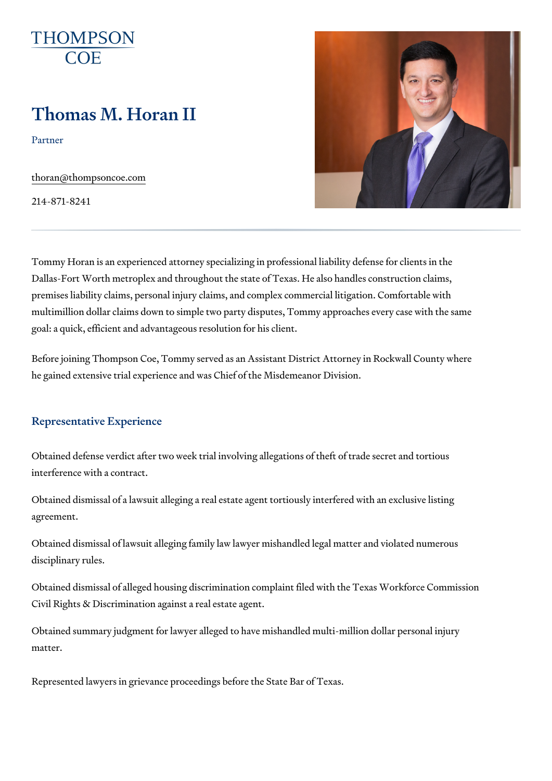# Thomas M. Horan II

Partner

[thoran@thompso](mailto:thoran@thompsoncoe.com)ncoe.com

214-871-8241

Tommy Horan is an experienced attorney specializing in professional liabil Dallas-Fort Worth metroplex and throughout the state of Texas. He also ha premises liability claims, personal injury claims, and complex commercial multimillion dollar claims down to simple two party disputes, Tommy appro goal: a quick, efficient and advantageous resolution for his client.

Before joining Thompson Coe, Tommy served as an Assistant District Attor he gained extensive trial experience and was Chief of the Misdemeanor Div

### Representative Experience

Obtained defense verdict after two week trial involving allegations of theft interference with a contract.

Obtained dismissal of a lawsuit alleging a real estate agent tortiously inte agreement.

Obtained dismissal of lawsuit alleging family law lawyer mishandled legal disciplinary rules.

Obtained dismissal of alleged housing discrimination complaint filed with t Civil Rights & Discrimination against a real estate agent.

Obtained summary judgment for lawyer alleged to have mishandled multi-m matter.

Represented lawyers in grievance proceedings before the State Bar of Tex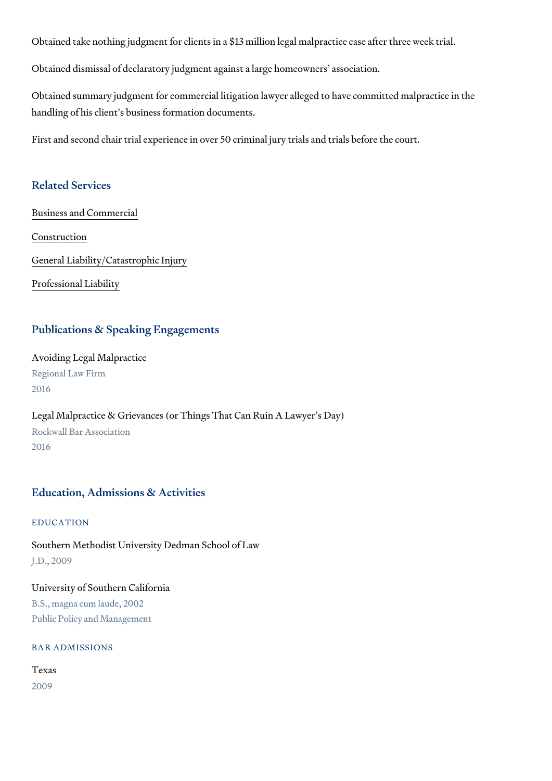Obtained take nothing judgment for clients in a \$13 million legal malpracti

Obtained dismissal of declaratory judgment against a large homeowners a

Obtained summary judgment for commercial litigation lawyer alleged to have handling of his client s business formation documents.

First and second chair trial experience in over 50 criminal jury trials and t

#### Related Services

[Business and C](https://www.thompsoncoe.com/people/thomas-m-horan-ii/)ommercial

[Constru](https://www.thompsoncoe.com/people/thomas-m-horan-ii/)ction

[General Liability/Catas](https://www.thompsoncoe.com/people/thomas-m-horan-ii/)trophic Injury

[Professional](https://www.thompsoncoe.com/people/thomas-m-horan-ii/) Liability

### Publications & Speaking Engagements

Avoiding Legal Malpractice Regional Law Firm 2016

Legal Malpractice & Grievances (or Things That Can Ruin A Lawyer s Day) Rockwall Bar Association 2016

## Education, Admissions & Activities

EDUCATION

Southern Methodist University Dedman School of Law J.D., 2009

University of Southern California B.S., magna cum laude, 2002 Public Policy and Management

BAR ADMISSIONS

Texas 2009